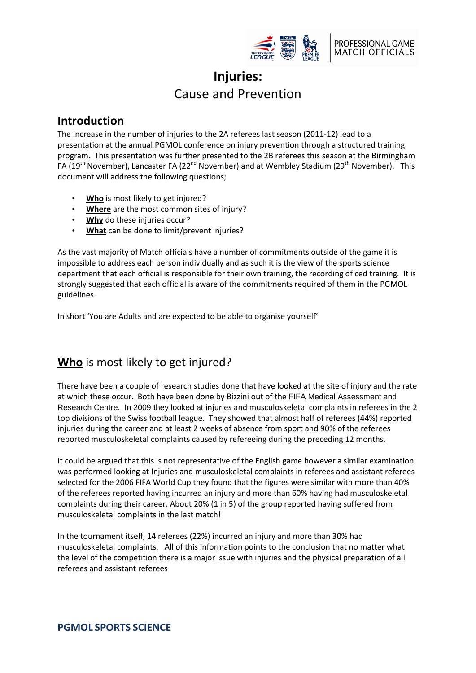

# **Injuries:** Cause and Prevention

## **Introduction**

The Increase in the number of injuries to the 2A referees last season (2011-12) lead to a presentation at the annual PGMOL conference on injury prevention through a structured training program. This presentation was further presented to the 2B referees this season at the Birmingham FA (19<sup>th</sup> November), Lancaster FA (22<sup>nd</sup> November) and at Wembley Stadium (29<sup>th</sup> November). This document will address the following questions;

- **Who** is most likely to get injured?
- **Where** are the most common sites of injury?
- **Why** do these injuries occur?
- **What** can be done to limit/prevent injuries?

As the vast majority of Match officials have a number of commitments outside of the game it is impossible to address each person individually and as such it is the view of the sports science department that each official is responsible for their own training, the recording of ced training. It is strongly suggested that each official is aware of the commitments required of them in the PGMOL guidelines.

In short 'You are Adults and are expected to be able to organise yourself'

# **Who** is most likely to get injured?

There have been a couple of research studies done that have looked at the site of injury and the rate at which these occur. Both have been done by Bizzini out of the FIFA Medical Assessment and Research Centre. In 2009 they looked at injuries and musculoskeletal complaints in referees in the 2 top divisions of the Swiss football league. They showed that almost half of referees (44%) reported injuries during the career and at least 2 weeks of absence from sport and 90% of the referees reported musculoskeletal complaints caused by refereeing during the preceding 12 months.

It could be argued that this is not representative of the English game however a similar examination was performed looking at Injuries and musculoskeletal complaints in referees and assistant referees selected for the 2006 FIFA World Cup they found that the figures were similar with more than 40% of the referees reported having incurred an injury and more than 60% having had musculoskeletal complaints during their career. About 20% (1 in 5) of the group reported having suffered from musculoskeletal complaints in the last match!

In the tournament itself, 14 referees (22%) incurred an injury and more than 30% had musculoskeletal complaints. All of this information points to the conclusion that no matter what the level of the competition there is a major issue with injuries and the physical preparation of all referees and assistant referees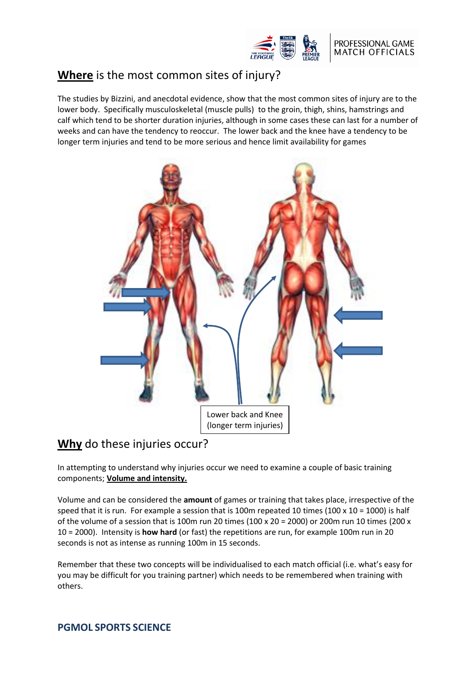

# **Where** is the most common sites of injury?

The studies by Bizzini, and anecdotal evidence, show that the most common sites of injury are to the lower body. Specifically musculoskeletal (muscle pulls) to the groin, thigh, shins, hamstrings and calf which tend to be shorter duration injuries, although in some cases these can last for a number of weeks and can have the tendency to reoccur. The lower back and the knee have a tendency to be longer term injuries and tend to be more serious and hence limit availability for games



# **Why** do these injuries occur?

In attempting to understand why injuries occur we need to examine a couple of basic training components; **Volume and intensity.**

Volume and can be considered the **amount** of games or training that takes place, irrespective of the speed that it is run. For example a session that is 100m repeated 10 times (100 x 10 = 1000) is half of the volume of a session that is 100m run 20 times (100 x 20 = 2000) or 200m run 10 times (200 x 10 = 2000). Intensity is **how hard** (or fast) the repetitions are run, for example 100m run in 20 seconds is not as intense as running 100m in 15 seconds.

Remember that these two concepts will be individualised to each match official (i.e. what's easy for you may be difficult for you training partner) which needs to be remembered when training with others.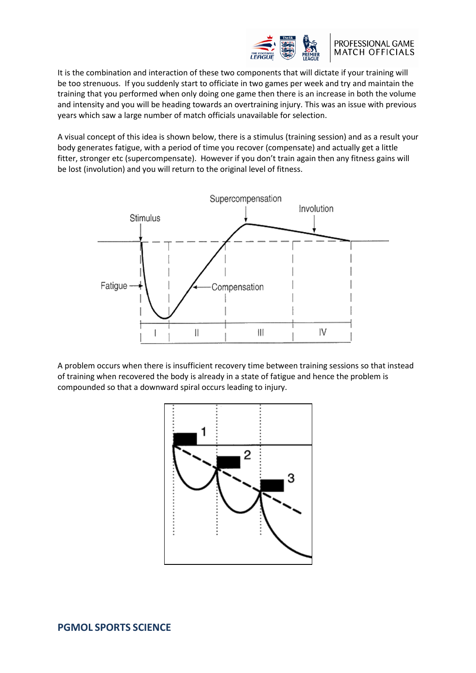

#### PROFESSIONAL GAME **MATCH OFFICIALS**

It is the combination and interaction of these two components that will dictate if your training will be too strenuous. If you suddenly start to officiate in two games per week and try and maintain the training that you performed when only doing one game then there is an increase in both the volume and intensity and you will be heading towards an overtraining injury. This was an issue with previous years which saw a large number of match officials unavailable for selection.

A visual concept of this idea is shown below, there is a stimulus (training session) and as a result your body generates fatigue, with a period of time you recover (compensate) and actually get a little fitter, stronger etc (supercompensate). However if you don't train again then any fitness gains will be lost (involution) and you will return to the original level of fitness.



A problem occurs when there is insufficient recovery time between training sessions so that instead of training when recovered the body is already in a state of fatigue and hence the problem is compounded so that a downward spiral occurs leading to injury.

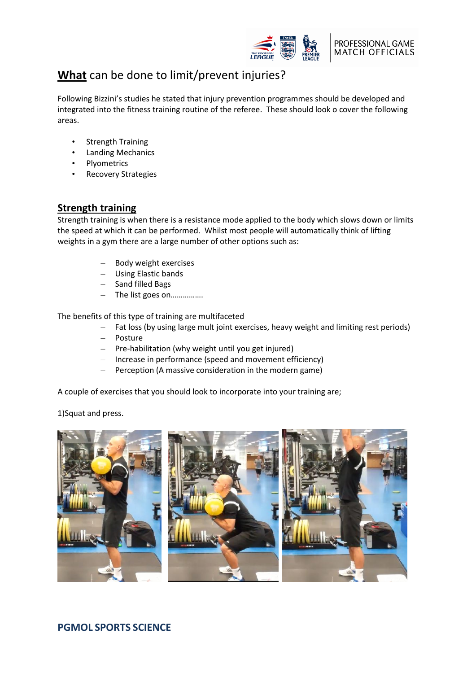

## **What** can be done to limit/prevent injuries?

Following Bizzini's studies he stated that injury prevention programmes should be developed and integrated into the fitness training routine of the referee. These should look o cover the following areas.

- **Strength Training**
- Landing Mechanics
- Plyometrics
- Recovery Strategies

## **Strength training**

Strength training is when there is a resistance mode applied to the body which slows down or limits the speed at which it can be performed. Whilst most people will automatically think of lifting weights in a gym there are a large number of other options such as:

- Body weight exercises
- Using Elastic bands
- Sand filled Bags
- The list goes on…………….

The benefits of this type of training are multifaceted

- Fat loss (by using large mult joint exercises, heavy weight and limiting rest periods)
- Posture
- Pre-habilitation (why weight until you get injured)
- Increase in performance (speed and movement efficiency)
- Perception (A massive consideration in the modern game)

A couple of exercises that you should look to incorporate into your training are;

1)Squat and press.



## **PGMOL SPORTS SCIENCE**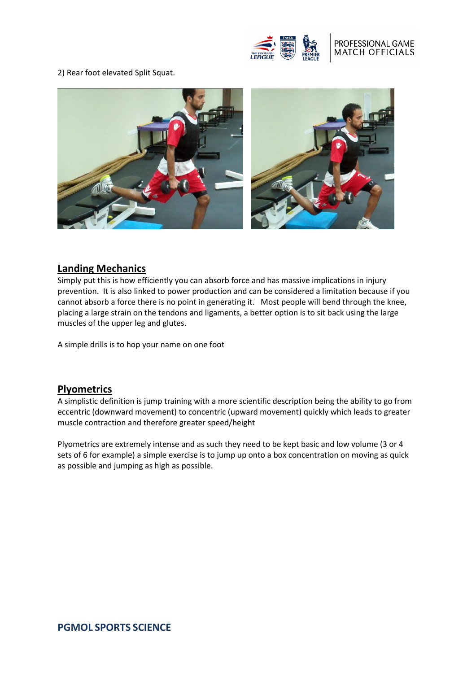

### PROFESSIONAL GAME **MATCH OFFICIALS**

2) Rear foot elevated Split Squat.



### **Landing Mechanics**

Simply put this is how efficiently you can absorb force and has massive implications in injury prevention. It is also linked to power production and can be considered a limitation because if you cannot absorb a force there is no point in generating it. Most people will bend through the knee, placing a large strain on the tendons and ligaments, a better option is to sit back using the large muscles of the upper leg and glutes.

A simple drills is to hop your name on one foot

### **Plyometrics**

A simplistic definition is jump training with a more scientific description being the ability to go from eccentric (downward movement) to concentric (upward movement) quickly which leads to greater muscle contraction and therefore greater speed/height

Plyometrics are extremely intense and as such they need to be kept basic and low volume (3 or 4 sets of 6 for example) a simple exercise is to jump up onto a box concentration on moving as quick as possible and jumping as high as possible.